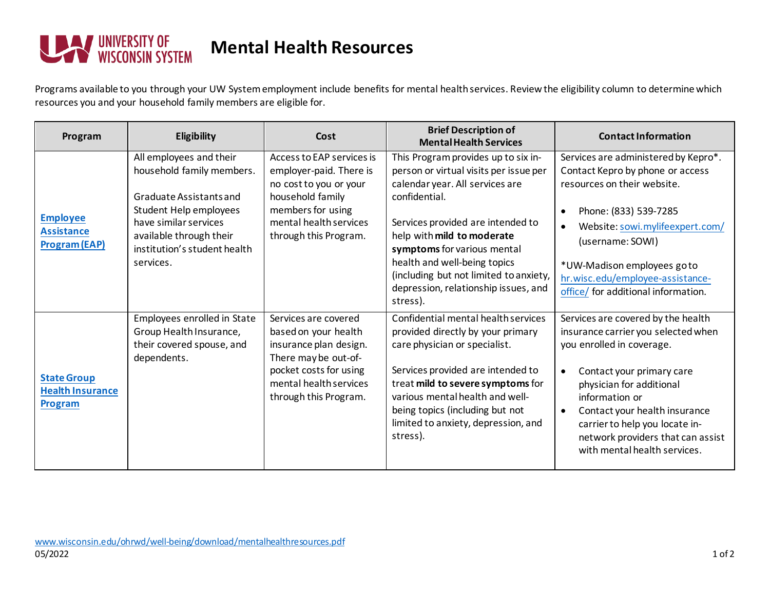

## **Mental Health Resources**

Programs available to you through your UW Systememployment include benefits for mental health services. Review the eligibility column to determine which resources you and your household family members are eligible for.

| Program                                                      | Eligibility                                                                                                                                                                                                | Cost                                                                                                                                                                        | <b>Brief Description of</b><br><b>Mental Health Services</b>                                                                                                                                                                                                                                                                                                      | <b>Contact Information</b>                                                                                                                                                                                                                                                                                                                          |
|--------------------------------------------------------------|------------------------------------------------------------------------------------------------------------------------------------------------------------------------------------------------------------|-----------------------------------------------------------------------------------------------------------------------------------------------------------------------------|-------------------------------------------------------------------------------------------------------------------------------------------------------------------------------------------------------------------------------------------------------------------------------------------------------------------------------------------------------------------|-----------------------------------------------------------------------------------------------------------------------------------------------------------------------------------------------------------------------------------------------------------------------------------------------------------------------------------------------------|
| <b>Employee</b><br><b>Assistance</b><br><b>Program (EAP)</b> | All employees and their<br>household family members.<br>Graduate Assistants and<br>Student Help employees<br>have similar services<br>available through their<br>institution's student health<br>services. | Access to EAP services is<br>employer-paid. There is<br>no cost to you or your<br>household family<br>members for using<br>mental health services<br>through this Program.  | This Program provides up to six in-<br>person or virtual visits per issue per<br>calendar year. All services are<br>confidential.<br>Services provided are intended to<br>help with mild to moderate<br>symptoms for various mental<br>health and well-being topics<br>(including but not limited to anxiety,<br>depression, relationship issues, and<br>stress). | Services are administered by Kepro*.<br>Contact Kepro by phone or access<br>resources on their website.<br>Phone: (833) 539-7285<br>$\bullet$<br>Website: sowi.mylifeexpert.com/<br>$\bullet$<br>(username: SOWI)<br>*UW-Madison employees goto<br>hr.wisc.edu/employee-assistance-<br>office/ for additional information.                          |
| <b>State Group</b><br><b>Health Insurance</b><br>Program     | Employees enrolled in State<br>Group Health Insurance,<br>their covered spouse, and<br>dependents.                                                                                                         | Services are covered<br>based on your health<br>insurance plan design.<br>There may be out-of-<br>pocket costs for using<br>mental health services<br>through this Program. | Confidential mental health services<br>provided directly by your primary<br>care physician or specialist.<br>Services provided are intended to<br>treat mild to severe symptoms for<br>various mental health and well-<br>being topics (including but not<br>limited to anxiety, depression, and<br>stress).                                                      | Services are covered by the health<br>insurance carrier you selected when<br>you enrolled in coverage.<br>Contact your primary care<br>$\bullet$<br>physician for additional<br>information or<br>Contact your health insurance<br>$\bullet$<br>carrier to help you locate in-<br>network providers that can assist<br>with mental health services. |